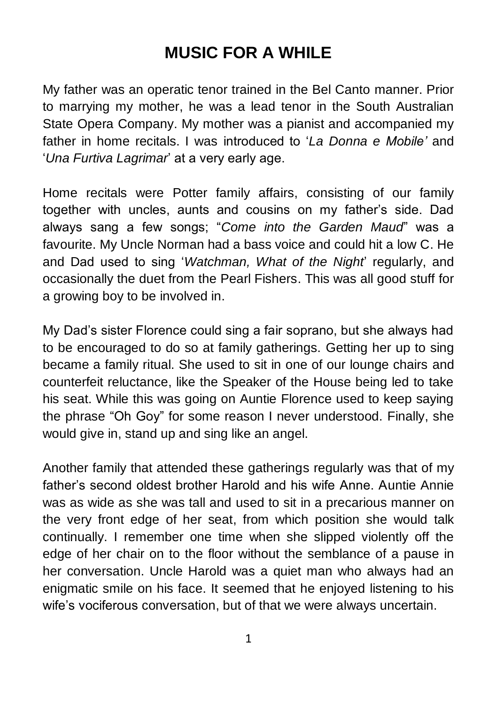# **MUSIC FOR A WHILE**

My father was an operatic tenor trained in the Bel Canto manner. Prior to marrying my mother, he was a lead tenor in the South Australian State Opera Company. My mother was a pianist and accompanied my father in home recitals. I was introduced to '*La Donna e Mobile'* and '*Una Furtiva Lagrimar*' at a very early age.

Home recitals were Potter family affairs, consisting of our family together with uncles, aunts and cousins on my father's side. Dad always sang a few songs; "*Come into the Garden Maud*" was a favourite. My Uncle Norman had a bass voice and could hit a low C. He and Dad used to sing '*Watchman, What of the Night*' regularly, and occasionally the duet from the Pearl Fishers. This was all good stuff for a growing boy to be involved in.

My Dad's sister Florence could sing a fair soprano, but she always had to be encouraged to do so at family gatherings. Getting her up to sing became a family ritual. She used to sit in one of our lounge chairs and counterfeit reluctance, like the Speaker of the House being led to take his seat. While this was going on Auntie Florence used to keep saying the phrase "Oh Goy" for some reason I never understood. Finally, she would give in, stand up and sing like an angel.

Another family that attended these gatherings regularly was that of my father's second oldest brother Harold and his wife Anne. Auntie Annie was as wide as she was tall and used to sit in a precarious manner on the very front edge of her seat, from which position she would talk continually. I remember one time when she slipped violently off the edge of her chair on to the floor without the semblance of a pause in her conversation. Uncle Harold was a quiet man who always had an enigmatic smile on his face. It seemed that he enjoyed listening to his wife's vociferous conversation, but of that we were always uncertain.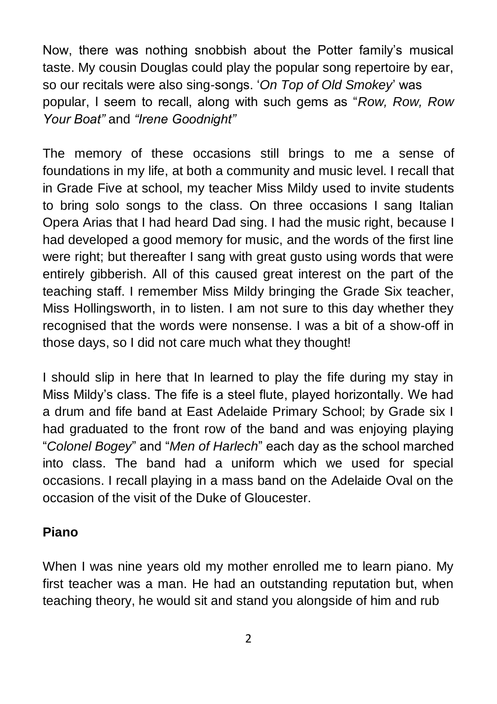Now, there was nothing snobbish about the Potter family's musical taste. My cousin Douglas could play the popular song repertoire by ear, so our recitals were also sing-songs. '*On Top of Old Smokey*' was popular, I seem to recall, along with such gems as "*Row, Row, Row Your Boat"* and *"Irene Goodnight"*

The memory of these occasions still brings to me a sense of foundations in my life, at both a community and music level. I recall that in Grade Five at school, my teacher Miss Mildy used to invite students to bring solo songs to the class. On three occasions I sang Italian Opera Arias that I had heard Dad sing. I had the music right, because I had developed a good memory for music, and the words of the first line were right; but thereafter I sang with great gusto using words that were entirely gibberish. All of this caused great interest on the part of the teaching staff. I remember Miss Mildy bringing the Grade Six teacher, Miss Hollingsworth, in to listen. I am not sure to this day whether they recognised that the words were nonsense. I was a bit of a show-off in those days, so I did not care much what they thought!

I should slip in here that In learned to play the fife during my stay in Miss Mildy's class. The fife is a steel flute, played horizontally. We had a drum and fife band at East Adelaide Primary School; by Grade six I had graduated to the front row of the band and was enjoying playing "*Colonel Bogey*" and "*Men of Harlech*" each day as the school marched into class. The band had a uniform which we used for special occasions. I recall playing in a mass band on the Adelaide Oval on the occasion of the visit of the Duke of Gloucester.

#### **Piano**

When I was nine years old my mother enrolled me to learn piano. My first teacher was a man. He had an outstanding reputation but, when teaching theory, he would sit and stand you alongside of him and rub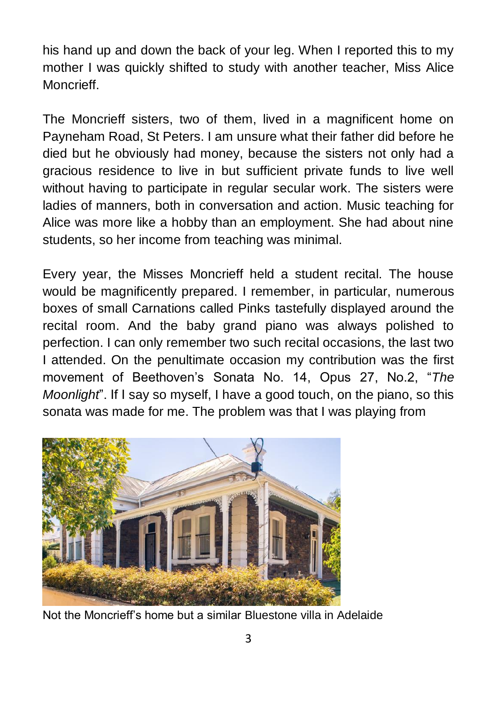his hand up and down the back of your leg. When I reported this to my mother I was quickly shifted to study with another teacher, Miss Alice Moncrieff.

The Moncrieff sisters, two of them, lived in a magnificent home on Payneham Road, St Peters. I am unsure what their father did before he died but he obviously had money, because the sisters not only had a gracious residence to live in but sufficient private funds to live well without having to participate in regular secular work. The sisters were ladies of manners, both in conversation and action. Music teaching for Alice was more like a hobby than an employment. She had about nine students, so her income from teaching was minimal.

Every year, the Misses Moncrieff held a student recital. The house would be magnificently prepared. I remember, in particular, numerous boxes of small Carnations called Pinks tastefully displayed around the recital room. And the baby grand piano was always polished to perfection. I can only remember two such recital occasions, the last two I attended. On the penultimate occasion my contribution was the first movement of Beethoven's Sonata No. 14, Opus 27, No.2, "*The Moonlight*". If I say so myself, I have a good touch, on the piano, so this sonata was made for me. The problem was that I was playing from



Not the Moncrieff's home but a similar Bluestone villa in Adelaide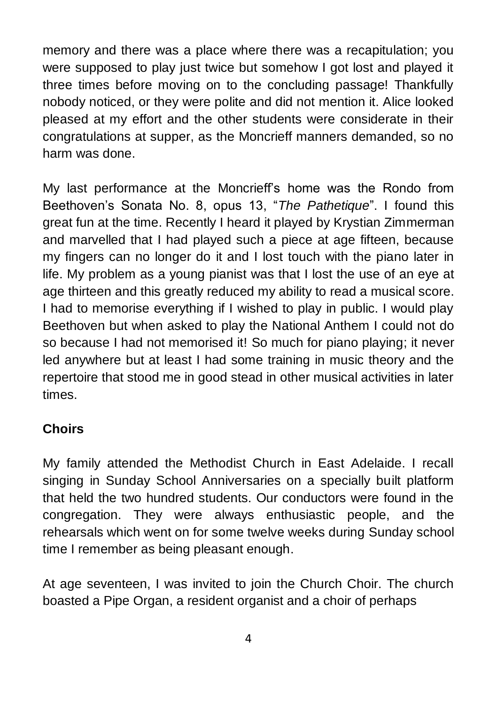memory and there was a place where there was a recapitulation; you were supposed to play just twice but somehow I got lost and played it three times before moving on to the concluding passage! Thankfully nobody noticed, or they were polite and did not mention it. Alice looked pleased at my effort and the other students were considerate in their congratulations at supper, as the Moncrieff manners demanded, so no harm was done.

My last performance at the Moncrieff's home was the Rondo from Beethoven's Sonata No. 8, opus 13, "*The Pathetique*". I found this great fun at the time. Recently I heard it played by Krystian Zimmerman and marvelled that I had played such a piece at age fifteen, because my fingers can no longer do it and I lost touch with the piano later in life. My problem as a young pianist was that I lost the use of an eye at age thirteen and this greatly reduced my ability to read a musical score. I had to memorise everything if I wished to play in public. I would play Beethoven but when asked to play the National Anthem I could not do so because I had not memorised it! So much for piano playing; it never led anywhere but at least I had some training in music theory and the repertoire that stood me in good stead in other musical activities in later times.

### **Choirs**

My family attended the Methodist Church in East Adelaide. I recall singing in Sunday School Anniversaries on a specially built platform that held the two hundred students. Our conductors were found in the congregation. They were always enthusiastic people, and the rehearsals which went on for some twelve weeks during Sunday school time I remember as being pleasant enough.

At age seventeen, I was invited to join the Church Choir. The church boasted a Pipe Organ, a resident organist and a choir of perhaps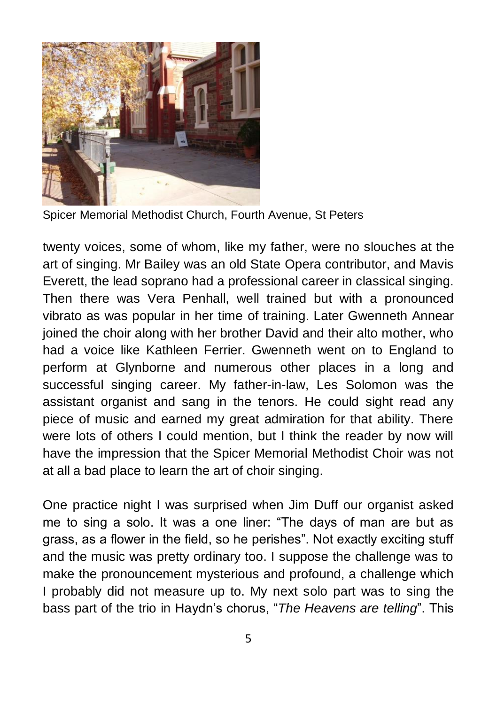

Spicer Memorial Methodist Church, Fourth Avenue, St Peters

twenty voices, some of whom, like my father, were no slouches at the art of singing. Mr Bailey was an old State Opera contributor, and Mavis Everett, the lead soprano had a professional career in classical singing. Then there was Vera Penhall, well trained but with a pronounced vibrato as was popular in her time of training. Later Gwenneth Annear joined the choir along with her brother David and their alto mother, who had a voice like Kathleen Ferrier. Gwenneth went on to England to perform at Glynborne and numerous other places in a long and successful singing career. My father-in-law, Les Solomon was the assistant organist and sang in the tenors. He could sight read any piece of music and earned my great admiration for that ability. There were lots of others I could mention, but I think the reader by now will have the impression that the Spicer Memorial Methodist Choir was not at all a bad place to learn the art of choir singing.

One practice night I was surprised when Jim Duff our organist asked me to sing a solo. It was a one liner: "The days of man are but as grass, as a flower in the field, so he perishes". Not exactly exciting stuff and the music was pretty ordinary too. I suppose the challenge was to make the pronouncement mysterious and profound, a challenge which I probably did not measure up to. My next solo part was to sing the bass part of the trio in Haydn's chorus, "*The Heavens are telling*". This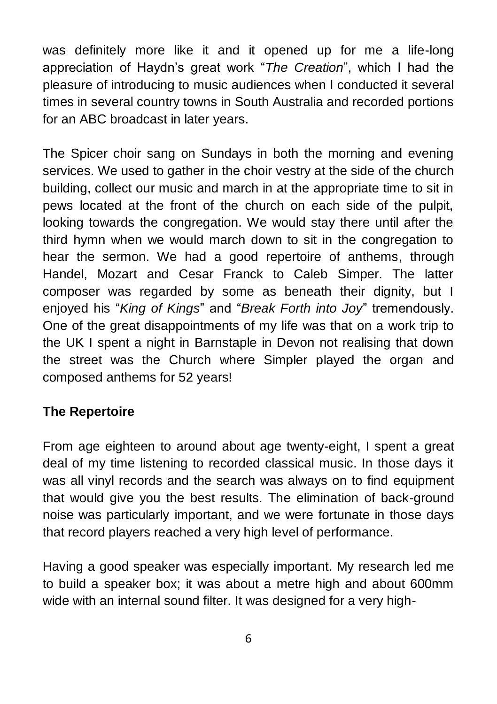was definitely more like it and it opened up for me a life-long appreciation of Haydn's great work "*The Creation*", which I had the pleasure of introducing to music audiences when I conducted it several times in several country towns in South Australia and recorded portions for an ABC broadcast in later years.

The Spicer choir sang on Sundays in both the morning and evening services. We used to gather in the choir vestry at the side of the church building, collect our music and march in at the appropriate time to sit in pews located at the front of the church on each side of the pulpit, looking towards the congregation. We would stay there until after the third hymn when we would march down to sit in the congregation to hear the sermon. We had a good repertoire of anthems, through Handel, Mozart and Cesar Franck to Caleb Simper. The latter composer was regarded by some as beneath their dignity, but I enjoyed his "*King of Kings*" and "*Break Forth into Joy*" tremendously. One of the great disappointments of my life was that on a work trip to the UK I spent a night in Barnstaple in Devon not realising that down the street was the Church where Simpler played the organ and composed anthems for 52 years!

### **The Repertoire**

From age eighteen to around about age twenty-eight, I spent a great deal of my time listening to recorded classical music. In those days it was all vinyl records and the search was always on to find equipment that would give you the best results. The elimination of back-ground noise was particularly important, and we were fortunate in those days that record players reached a very high level of performance.

Having a good speaker was especially important. My research led me to build a speaker box; it was about a metre high and about 600mm wide with an internal sound filter. It was designed for a very high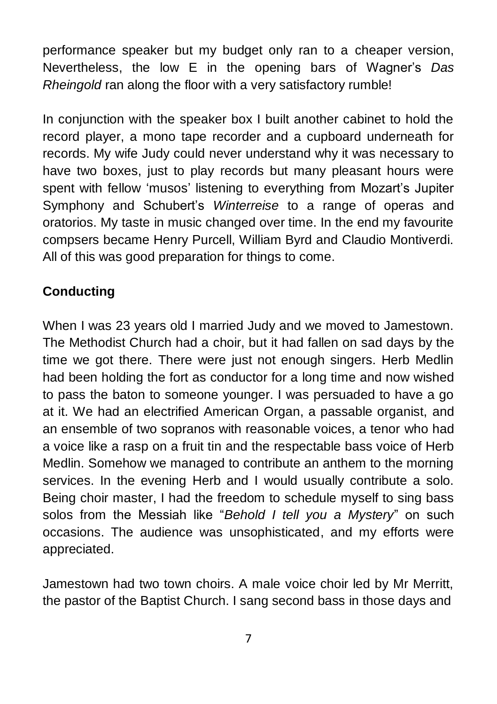performance speaker but my budget only ran to a cheaper version, Nevertheless, the low E in the opening bars of Wagner's *Das Rheingold* ran along the floor with a very satisfactory rumble!

In conjunction with the speaker box I built another cabinet to hold the record player, a mono tape recorder and a cupboard underneath for records. My wife Judy could never understand why it was necessary to have two boxes, just to play records but many pleasant hours were spent with fellow 'musos' listening to everything from Mozart's Jupiter Symphony and Schubert's *Winterreise* to a range of operas and oratorios. My taste in music changed over time. In the end my favourite compsers became Henry Purcell, William Byrd and Claudio Montiverdi. All of this was good preparation for things to come.

## **Conducting**

When I was 23 years old I married Judy and we moved to Jamestown. The Methodist Church had a choir, but it had fallen on sad days by the time we got there. There were just not enough singers. Herb Medlin had been holding the fort as conductor for a long time and now wished to pass the baton to someone younger. I was persuaded to have a go at it. We had an electrified American Organ, a passable organist, and an ensemble of two sopranos with reasonable voices, a tenor who had a voice like a rasp on a fruit tin and the respectable bass voice of Herb Medlin. Somehow we managed to contribute an anthem to the morning services. In the evening Herb and I would usually contribute a solo. Being choir master, I had the freedom to schedule myself to sing bass solos from the Messiah like "*Behold I tell you a Mystery*" on such occasions. The audience was unsophisticated, and my efforts were appreciated.

Jamestown had two town choirs. A male voice choir led by Mr Merritt, the pastor of the Baptist Church. I sang second bass in those days and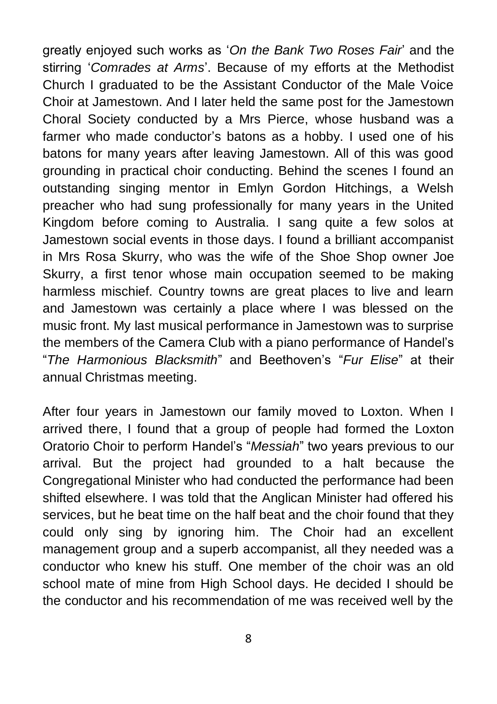greatly enjoyed such works as '*On the Bank Two Roses Fair*' and the stirring '*Comrades at Arms*'. Because of my efforts at the Methodist Church I graduated to be the Assistant Conductor of the Male Voice Choir at Jamestown. And I later held the same post for the Jamestown Choral Society conducted by a Mrs Pierce, whose husband was a farmer who made conductor's batons as a hobby. I used one of his batons for many years after leaving Jamestown. All of this was good grounding in practical choir conducting. Behind the scenes I found an outstanding singing mentor in Emlyn Gordon Hitchings, a Welsh preacher who had sung professionally for many years in the United Kingdom before coming to Australia. I sang quite a few solos at Jamestown social events in those days. I found a brilliant accompanist in Mrs Rosa Skurry, who was the wife of the Shoe Shop owner Joe Skurry, a first tenor whose main occupation seemed to be making harmless mischief. Country towns are great places to live and learn and Jamestown was certainly a place where I was blessed on the music front. My last musical performance in Jamestown was to surprise the members of the Camera Club with a piano performance of Handel's "*The Harmonious Blacksmith*" and Beethoven's "*Fur Elise*" at their annual Christmas meeting.

After four years in Jamestown our family moved to Loxton. When I arrived there, I found that a group of people had formed the Loxton Oratorio Choir to perform Handel's "*Messiah*" two years previous to our arrival. But the project had grounded to a halt because the Congregational Minister who had conducted the performance had been shifted elsewhere. I was told that the Anglican Minister had offered his services, but he beat time on the half beat and the choir found that they could only sing by ignoring him. The Choir had an excellent management group and a superb accompanist, all they needed was a conductor who knew his stuff. One member of the choir was an old school mate of mine from High School days. He decided I should be the conductor and his recommendation of me was received well by the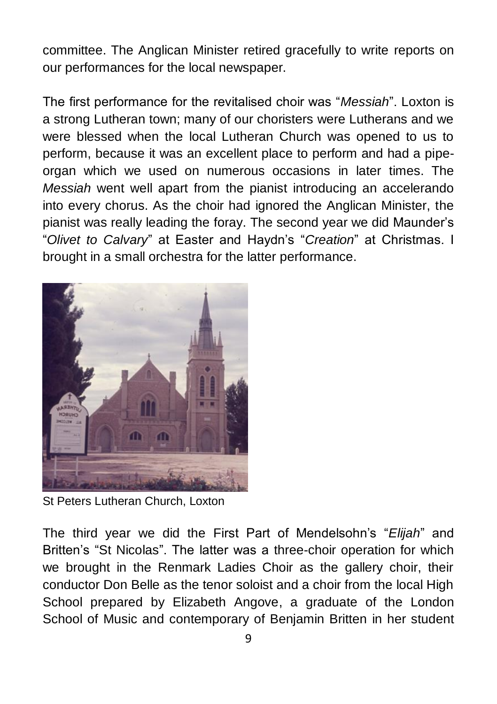committee. The Anglican Minister retired gracefully to write reports on our performances for the local newspaper.

The first performance for the revitalised choir was "*Messiah*". Loxton is a strong Lutheran town; many of our choristers were Lutherans and we were blessed when the local Lutheran Church was opened to us to perform, because it was an excellent place to perform and had a pipeorgan which we used on numerous occasions in later times. The *Messiah* went well apart from the pianist introducing an accelerando into every chorus. As the choir had ignored the Anglican Minister, the pianist was really leading the foray. The second year we did Maunder's "*Olivet to Calvary*" at Easter and Haydn's "*Creation*" at Christmas. I brought in a small orchestra for the latter performance.



St Peters Lutheran Church, Loxton

The third year we did the First Part of Mendelsohn's "*Elijah*" and Britten's "St Nicolas". The latter was a three-choir operation for which we brought in the Renmark Ladies Choir as the gallery choir, their conductor Don Belle as the tenor soloist and a choir from the local High School prepared by Elizabeth Angove, a graduate of the London School of Music and contemporary of Benjamin Britten in her student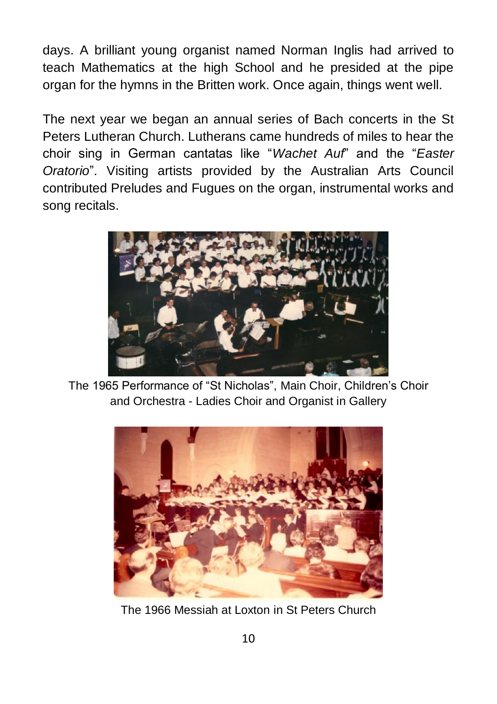days. A brilliant young organist named Norman Inglis had arrived to teach Mathematics at the high School and he presided at the pipe organ for the hymns in the Britten work. Once again, things went well.

The next year we began an annual series of Bach concerts in the St Peters Lutheran Church. Lutherans came hundreds of miles to hear the choir sing in German cantatas like "*Wachet Auf*" and the "*Easter Oratorio*". Visiting artists provided by the Australian Arts Council contributed Preludes and Fugues on the organ, instrumental works and song recitals.



The 1965 Performance of "St Nicholas", Main Choir, Children's Choir and Orchestra - Ladies Choir and Organist in Gallery



The 1966 Messiah at Loxton in St Peters Church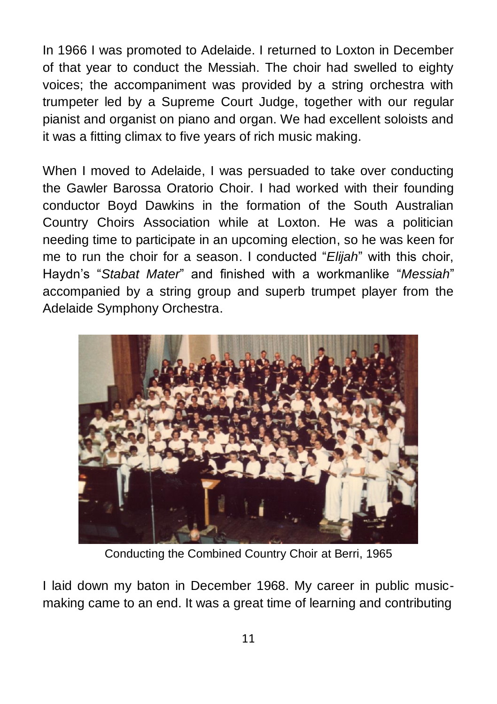In 1966 I was promoted to Adelaide. I returned to Loxton in December of that year to conduct the Messiah. The choir had swelled to eighty voices; the accompaniment was provided by a string orchestra with trumpeter led by a Supreme Court Judge, together with our regular pianist and organist on piano and organ. We had excellent soloists and it was a fitting climax to five years of rich music making.

When I moved to Adelaide, I was persuaded to take over conducting the Gawler Barossa Oratorio Choir. I had worked with their founding conductor Boyd Dawkins in the formation of the South Australian Country Choirs Association while at Loxton. He was a politician needing time to participate in an upcoming election, so he was keen for me to run the choir for a season. I conducted "*Elijah*" with this choir, Haydn's "*Stabat Mater*" and finished with a workmanlike "*Messiah*" accompanied by a string group and superb trumpet player from the Adelaide Symphony Orchestra.



Conducting the Combined Country Choir at Berri, 1965

I laid down my baton in December 1968. My career in public musicmaking came to an end. It was a great time of learning and contributing